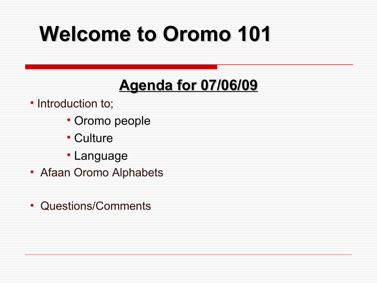# **Welcome to Oromo 101**

#### **Agenda for 07/06/09**

• Introduction to;

- Oromo people
- Culture
- Language
- Afaan Oromo Alphabets
- Questions/Comments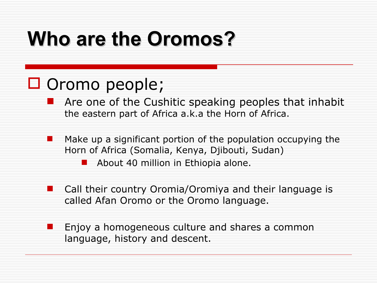### **Who are the Oromos?**

#### □ Oromo people;

 Are one of the Cushitic speaking peoples that inhabit the eastern part of Africa a.k.a the Horn of Africa.

 Make up a significant portion of the population occupying the Horn of Africa (Somalia, Kenya, Djibouti, Sudan)

About 40 million in Ethiopia alone.

- Call their country Oromia/Oromiya and their language is called Afan Oromo or the Oromo language.
- Enjoy a homogeneous culture and shares a common language, history and descent.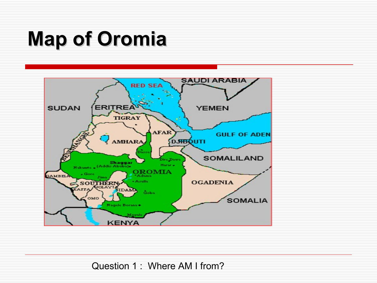### **Map of Oromia**



Question 1 : Where AM I from?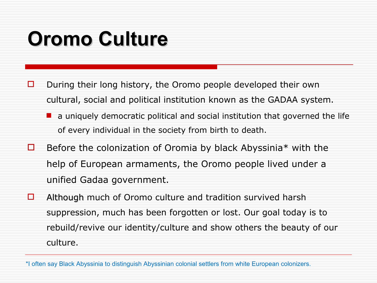### **Oromo Culture**

- $\Box$  During their long history, the Oromo people developed their own cultural, social and political institution known as the GADAA system.
	- $\blacksquare$  a uniquely democratic political and social institution that governed the life of every individual in the society from birth to death.
- $\Box$  Before the colonization of Oromia by black Abyssinia\* with the help of European armaments, the Oromo people lived under a unified Gadaa government.
- $\Box$  Although much of Oromo culture and tradition survived harsh suppression, much has been forgotten or lost. Our goal today is to rebuild/revive our identity/culture and show others the beauty of our culture.

\*I often say Black Abyssinia to distinguish Abyssinian colonial settlers from white European colonizers.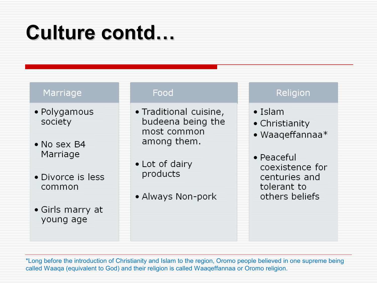### Culture contd...

#### Marriage

- Polygamous society
- No sex B4 Marriage
- Divorce is less common
- Girls marry at young age

#### Food

- Traditional cuisine, budeena being the most common among them.
- Lot of dairy products
- Always Non-pork

#### Religion

- $\bullet$  Islam
- Christianity
- · Waaqeffannaa\*
- $\bullet$  Peaceful coexistence for centuries and tolerant to others beliefs

\*Long before the introduction of Christianity and Islam to the region, Oromo people believed in one supreme being called Waaqa (equivalent to God) and their religion is called Waaqeffannaa or Oromo religion.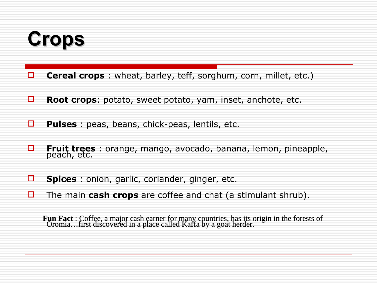### **Crops**

- **Cereal crops**: wheat, barley, teff, sorghum, corn, millet, etc.)
- **Root crops**: potato, sweet potato, yam, inset, anchote, etc.
- **Pulses**: peas, beans, chick-peas, lentils, etc.
- **Fruit trees** : orange, mango, avocado, banana, lemon, pineapple, peach, etc.
- **Spices**: onion, garlic, coriander, ginger, etc.
- The main **cash crops** are coffee and chat (a stimulant shrub).

**Fun Fact** : Coffee, a major cash earner for many countries, has its origin in the forests of Oromia…first discovered in a place called Kaffa by a goat herder.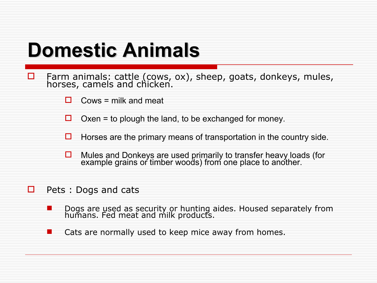### **Domestic Animals**

- $\Box$  Farm animals: cattle (cows, ox), sheep, goats, donkeys, mules, horses, camels and chicken.
	- $\Box$  Cows = milk and meat
	- $\Box$  Oxen = to plough the land, to be exchanged for money.
	- $\Box$  Horses are the primary means of transportation in the country side.
	- $\Box$  Mules and Donkeys are used primarily to transfer heavy loads (for example grains or timber woods) from one place to another.
- $\Box$  Pets : Dogs and cats
	- **Dogs are used as security or hunting aides. Housed separately from** humans. Fed meat and milk products.
	- **E** Cats are normally used to keep mice away from homes.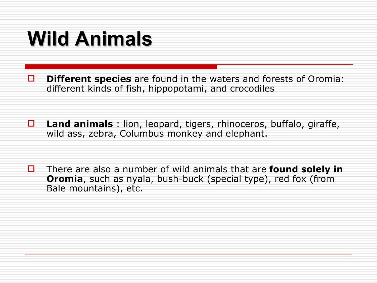### **Wild Animals**

**D Different species** are found in the waters and forests of Oromia: different kinds of fish, hippopotami, and crocodiles

 **Land animals** : lion, leopard, tigers, rhinoceros, buffalo, giraffe, wild ass, zebra, Columbus monkey and elephant.

 There are also a number of wild animals that are **found solely in Oromia**, such as nyala, bush-buck (special type), red fox (from Bale mountains), etc.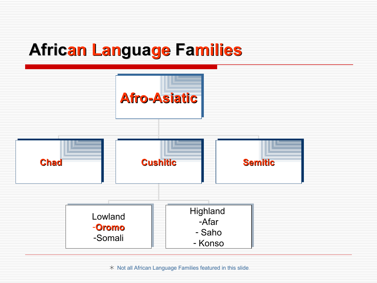### **African Language Families**



 $*$  Not all African Language Families featured in this slide.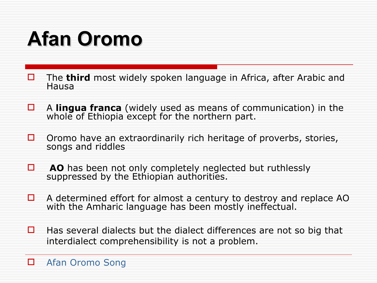## **Afan Oromo**

- □ The **third** most widely spoken language in Africa, after Arabic and Hausa
- A **lingua franca** (widely used as means of communication) in the whole of Ethiopia except for the northern part.
- $\Box$  Oromo have an extraordinarily rich heritage of proverbs, stories, songs and riddles
- **AO** has been not only completely neglected but ruthlessly suppressed by the Ethiopian authorities.
- $\Box$  A determined effort for almost a century to destroy and replace AO with the Amharic language has been mostly ineffectual.
- $\Box$  Has several dialects but the dialect differences are not so big that interdialect comprehensibility is not a problem.

**D** [Afan Oromo Song](http://www.manabuna.com/action/music/70/Alii_Birraa/)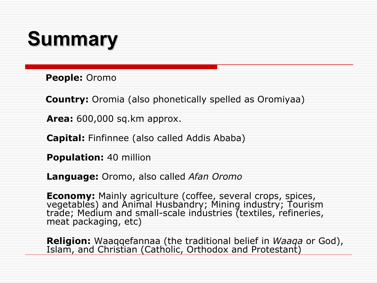### **Summary**

 **People:** Oromo

 **Country:** Oromia (also phonetically spelled as Oromiyaa)

**Area:** 600,000 sq.km approx.

**Capital:** Finfinnee (also called Addis Ababa)

**Population:** 40 million

**Language:** Oromo, also called *Afan Oromo*

**Economy:** Mainly agriculture (coffee, several crops, spices, vegetables) and Animal Husbandry; Mining industry; Tourism trade; Medium and small-scale industries (textiles, refineries, meat packaging, etc)

**Religion:** Waaqqefannaa (the traditional belief in *Waaqa* or God), Islam, and Christian (Catholic, Orthodox and Protestant)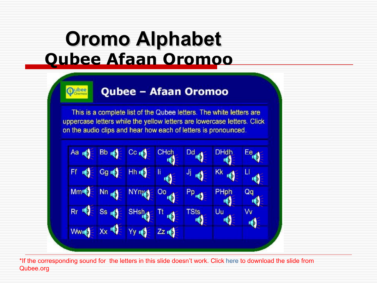### **Oromo Alphabet Oubee Afaan Oromoo**

**Qubee** 

#### **Qubee - Afaan Oromoo**

This is a complete list of the Qubee letters. The white letters are uppercase letters while the yellow letters are lowercase letters. Click on the audio clips and hear how each of letters is pronounced.

As 
$$
q \in Bb
$$
 of  $0$  and  $0$  of  $0$  and  $0$  are the same as  $1$  and  $1$  and  $1$  are the same as  $1$  and  $1$  and  $1$  are the same as  $1$  and  $1$  and  $1$  are the same as  $1$  and  $1$  are the same as  $1$  and  $1$  are the same as  $1$  and  $1$  are the same as  $1$  and  $1$  are the same as  $1$  and  $1$  are the same as  $1$  and  $1$  are the same as  $1$  and  $1$  are the same as  $1$  and  $1$  are the same as  $1$  and  $1$  are the same as  $1$  and  $1$  are the same as  $1$  and  $1$  are the same as  $1$  and  $1$  are the same as  $1$  and  $1$  are the same as  $1$  and  $1$  are the same as  $1$  and  $1$  are the same as  $1$  and  $1$  are the same as  $1$  and  $1$  are the same as  $1$  and  $1$  are the same as  $1$  and  $1$  are the same as  $1$  and  $1$  are the same as  $1$  and  $1$  are the same as  $1$  and  $1$  are the same as  $1$  and  $1$  are the same as  $1$  and  $1$  are the same as  $1$  and  $1$  are the same as  $1$  and  $1$  are the same as  $1$  and  $1$  are the same as  $1$  and  $1$  are the same as  $1$  and  $1$  are the same as  $1$  and  $1$  are the same as  $1$  and  $1$  are the same as  $1$  and  $1$  are the same as  $1$  and  $1$  are the same as  $1$ 

\*If the corresponding sound for the letters in this slide doesn't work. Click here to download the slide from Qubee.org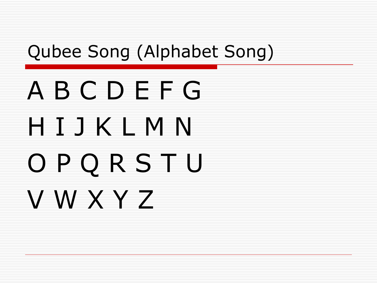### Qubee Song (Alphabet Song)

# A B C D E F G H I J K L M N O P Q R S T U V W X Y Z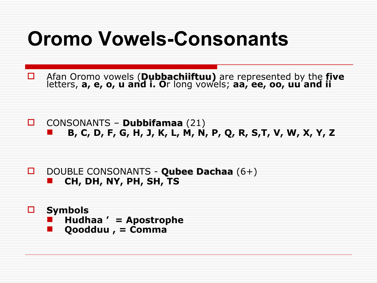### **Oromo Vowels-Consonants**

Afan Oromo vowels (Dubbachiiftuu) are represented by the five<br>letters, a, e, o, u and i. Or long vowels; aa, ee, oo, uu and ii □

 $\Box$ CONSONANTS - Dubbifamaa (21) B, C, D, F, G, H, J, K, L, M, N, P, Q, R, S,T, V, W, X, Y, Z

DOUBLE CONSONANTS - Qubee Dachaa (6+) 0. CH, DH, NY, PH, SH, TS

**Symbols** 8. Hudhaa ' = Apostrophe

Qoodduu, = Comma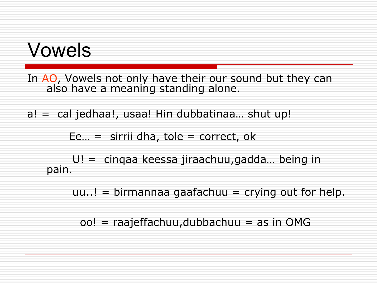### Vowels

In AO, Vowels not only have their our sound but they can also have a meaning standing alone.

 $a! = cal$  jedhaa!, usaa! Hin dubbatinaa... shut up!

Ee... = sirrii dha, tole = correct, ok

 $U! =$  cinqaa keessa jiraachuu, gadda... being in pain.

 $uu$ ..! = birmannaa gaafachuu = crying out for help.

oo! = raajeffachuu, dubbachuu = as in OMG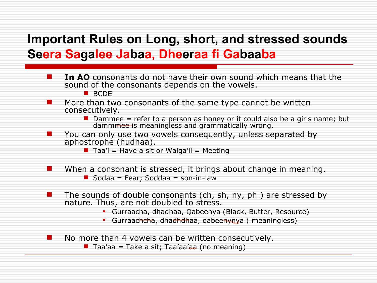#### **Important Rules on Long, short, and stressed sounds Seera Sagalee Jabaa, Dheeraa fi Gabaaba**

**If In AO** consonants do not have their own sound which means that the sound of the consonants depends on the vowels. **BCDF**  More than two consonants of the same type cannot be written consecutively.  $\blacksquare$  Dammee = refer to a person as honey or it could also be a girls name; but dammmee is meaningless and grammatically wrong. You can only use two vowels consequently, unless separated by aphostrophe (hudhaa).  $\blacksquare$  Taa'i = Have a sit or Walga'ii = Meeting When a consonant is stressed, it brings about change in meaning.  $\blacksquare$  Sodaa = Fear; Soddaa = son-in-law The sounds of double consonants (ch, sh, ny, ph ) are stressed by nature. Thus, are not doubled to stress. Gurraacha, dhadhaa, Qabeenya (Black, Butter, Resource) Gurraachcha, dhadhdhaa, qabeenynya (meaningless) No more than 4 vowels can be written consecutively. Taa'aa = Take a sit; Taa'aa'aa (no meaning)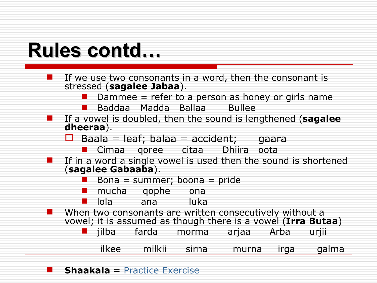### **Rules contd…**

|           |                    |                           | If we use two consonants in a word, then the consonant is       |             |      |       |
|-----------|--------------------|---------------------------|-----------------------------------------------------------------|-------------|------|-------|
|           |                    | stressed (sagalee Jabaa). |                                                                 |             |      |       |
|           |                    |                           | Dammee $=$ refer to a person as honey or girls name             |             |      |       |
|           |                    |                           | Baddaa Madda Ballaa Bullee                                      |             |      |       |
|           |                    |                           | If a vowel is doubled, then the sound is lengthened (sagalee    |             |      |       |
| dheeraa). |                    |                           |                                                                 |             |      |       |
|           |                    |                           | Baala = leaf; balaa = $accident$ ; gaara                        |             |      |       |
|           |                    |                           | ■ Cimaa qoree citaa                                             | Dhiira oota |      |       |
|           |                    |                           | If in a word a single vowel is used then the sound is shortened |             |      |       |
|           | (sagalee Gabaaba). |                           |                                                                 |             |      |       |
|           |                    |                           | Bona = summer; boona = pride                                    |             |      |       |
|           | mucha qophe        |                           | ona                                                             |             |      |       |
|           | lola l             | ana an                    | luka                                                            |             |      |       |
|           |                    |                           | When two consonants are written consecutively without a         |             |      |       |
|           |                    |                           | vowel; it is assumed as though there is a vowel (Irra Butaa)    |             |      |       |
|           |                    |                           | jilba farda morma                                               | arjaa Arba  |      | urjii |
|           |                    |                           |                                                                 |             |      |       |
|           |                    | ilkee milkii              | sirna                                                           | murna       | irga | galma |
|           |                    |                           |                                                                 |             |      |       |

**Shaakala** = [Practice Exercise](http://www.bilisummaa.com/afaan/dheeraa.html)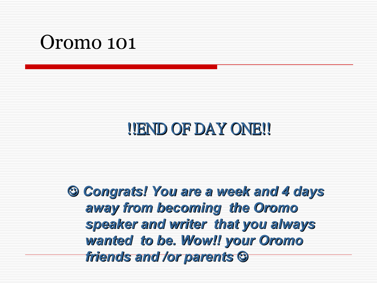### Oromo 101

### !!END OF DAY ONE!!

 *Congrats! You are a week and 4 days away from becoming the Oromo speaker and writer that you always wanted to be. Wow!! your Oromo friends and /or parents*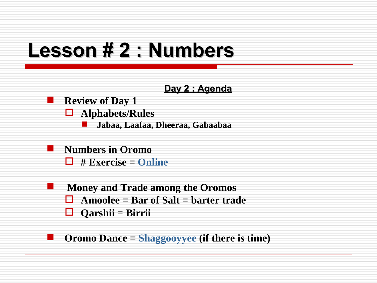### **Lesson # 2 : Numbers**

#### **Day 2 : Agenda**

#### **Review of Day 1**

- **Alphabets/Rules**
	- **Jabaa, Laafaa, Dheeraa, Gabaabaa**
- **Numbers in Oromo # Exercise = [Online](http://www.digitaldialects.com/Oromo.htm)**
- **Money and Trade among the Oromos Amoolee = Bar of Salt = barter trade Qarshii = Birrii**

#### **Oromo Dance = [Shaggooyyee](http://www.youtube.com/watch?v=zARjf0xCLw0) (if there is time)**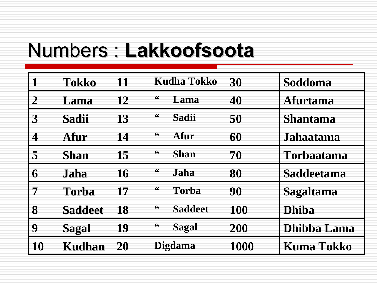### Numbers : **Lakkoofsoota**

|                  | Tokko          | 11        | <b>Kudha Tokko</b>   | 30         | Soddoma           |
|------------------|----------------|-----------|----------------------|------------|-------------------|
| $\overline{2}$   | Lama           | 12        | 66<br>Lama           | 40         | <b>Afurtama</b>   |
| 3                | <b>Sadii</b>   | 13        | 66<br>Sadii          | 50         | <b>Shantama</b>   |
| $\boldsymbol{4}$ | Afur           | 14        | 66<br>Afur           | 60         | Jahaatama         |
| 5                | <b>Shan</b>    | 15        | 66<br><b>Shan</b>    | 70         | <b>Torbaatama</b> |
| 6                | Jaha           | <b>16</b> | 66<br>Jaha           | 80         | Saddeetama        |
| 7                | <b>Torba</b>   | 17        | 66<br><b>Torba</b>   | 90         | <b>Sagaltama</b>  |
| 8                | <b>Saddeet</b> | <b>18</b> | 66<br><b>Saddeet</b> | <b>100</b> | <b>Dhiba</b>      |
| 9                | <b>Sagal</b>   | 19        | 66<br><b>Sagal</b>   | 200        | Dhibba Lama       |
| 10               | <b>Kudhan</b>  | 20        | <b>Digdama</b>       | 1000       | <b>Kuma Tokko</b> |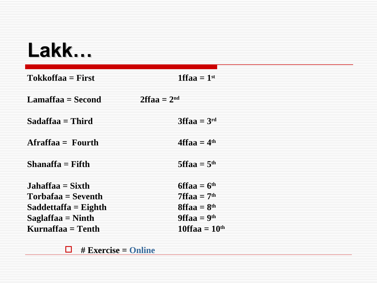### **Lakk…**

| Tokkoffaa = First      | 1ffaa $=1$ <sup>st</sup> |
|------------------------|--------------------------|
| Lamaffaa = Second      | $2$ ffaa = $2nd$         |
| Sadaffaa = Third       | $3ffaa = 3rd$            |
| Afraffaa = Fourth      | $4$ ffaa = $4th$         |
| Shanaffa = Fifth       | 5ffaa = $5th$            |
| Jahaffaa = Sixth       | $6ffaa = 6th$            |
| Torbafaa = Seventh     | $7$ ffaa = $7th$         |
| $Saddle that$ = Eighth | $8$ ffaa = $8th$         |
| Saglaffaa $=$ Ninth    | $9$ ffaa = $9th$         |
| Kurnaffaa = Tenth      | $10$ ffaa = $10th$       |

**# Exercise = [Online](http://www.digitaldialects.com/Oromo.htm)**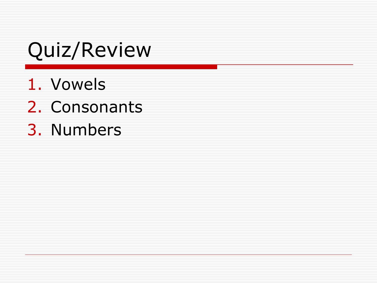### Quiz/Review

- 1. Vowels
- 2. Consonants
- 3. Numbers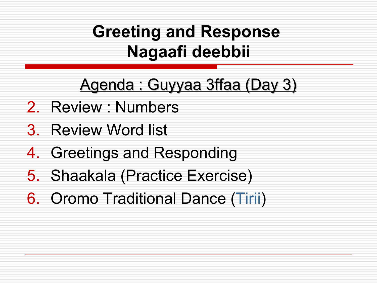### **Greeting and Response Nagaafi deebbii**

### Agenda : Guyyaa 3ffaa (Day 3)

- 2. Review : Numbers
- 3. Review Word list
- 4. Greetings and Responding
- 5. Shaakala (Practice Exercise)
- 6. Oromo Traditional Dance [\(Tirii\)](http://www.youtube.com/watch?v=p9Ae5RDuGno)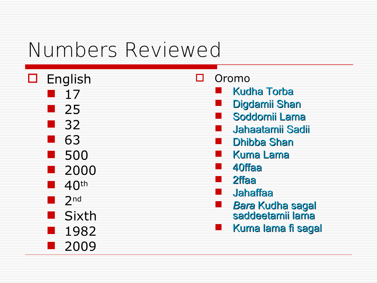### Numbers Reviewed

 $\Box$  English 17 25 32 63 500 2000 40th  $\blacksquare$  2nd **Sixth**  1982 ■ 2009

□ Oromo

- Kudha Torba
- Digdamii Shan
- Soddomii Lama
- Jahaatamii Sadii
- Dhibba Shan
- Kuma Lama
- 40ffaa
- 2ffaa
- Jahaffaa
- *Bara* Kudha sagal saddeetamii lama
- **Kuma lama fi sagal**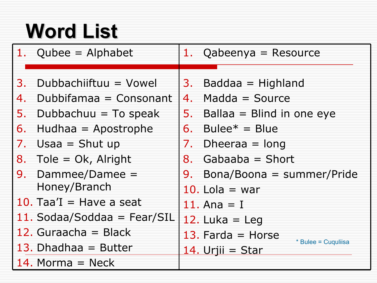# **Word List**

|    | 1. Qubee = Alphabet         |    | 1. Qabeenya = Resource                  |
|----|-----------------------------|----|-----------------------------------------|
|    |                             |    |                                         |
| 3. | Dubbachiiftuu = Vowel       |    | 3. Baddaa $=$ Highland                  |
| 4. | Dubbifamaa = Consonant      |    | 4. Madda = Source                       |
| 5. | Dubbachuu $=$ To speak      | 5. | Ballaa = Blind in one eye               |
| 6. | Hudhaa $=$ Apostrophe       | 6. | Bulee $* =$ Blue                        |
| 7. | Usaa $=$ Shut up            | 7. | Dheeraa $=$ long                        |
|    | 8. Tole = $Ok$ , Alright    |    | 8. Gabaaba = Short                      |
|    | 9. Dammee/Damee $=$         | 9. | Bona/Boona = summer/Pride               |
|    | Honey/Branch                |    | 10. Lola $=$ war                        |
|    | 10. Taa'I = Have a seat     |    | 11. Ana $=$ I                           |
|    | 11. Sodaa/Soddaa = Fear/SIL |    | 12. Luka = Leg                          |
|    | 12. Guraacha = Black        |    | 13. Farda $=$ Horse                     |
|    | 13. Dhadhaa $=$ Butter      |    | * Bulee = Cuquliisa<br>14. Urjii = Star |
|    | 14. Morma $=$ Neck          |    |                                         |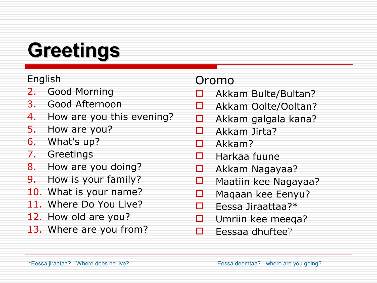# **Greetings**

#### English

- 2. Good Morning
- 3. Good Afternoon
- 4. How are you this evening?
- 5. How are you?
- 6. What's up?
- 7. Greetings
- 8. How are you doing?
- 9. How is your family?
- 10. What is your name?
- 11. Where Do You Live?
- 12. How old are you?
- 13. Where are you from?

#### Oromo

- □ Akkam Bulte/Bultan?
- Akkam Oolte/Ooltan?
- $\Box$  Akkam galgala kana?
- $\Box$  Akkam Jirta?
- $\Box$  Akkam?
- $\Box$  Harkaa fuune
- Akkam Nagayaa?
- **D** Maatiin kee Nagayaa?
- $\Box$  Maqaan kee Eenyu?
- $\Box$  Fessa Jiraattaa?\*
- □ Umriin kee meeqa?
- $\Box$  Eessaa dhuftee?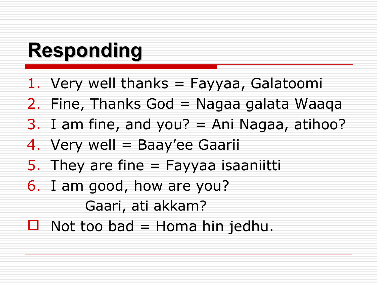## **Responding**

- 1. Very well thanks = Fayyaa, Galatoomi
- 2. Fine, Thanks God = Nagaa galata Waaqa
- 3. I am fine, and you?  $=$  Ani Nagaa, atihoo?
- 4. Very well = Baay'ee Gaarii
- 5. They are fine  $=$  Fayyaa isaaniitti
- 6. I am good, how are you? Gaari, ati akkam?
- $\Box$  Not too bad = Homa hin jedhu.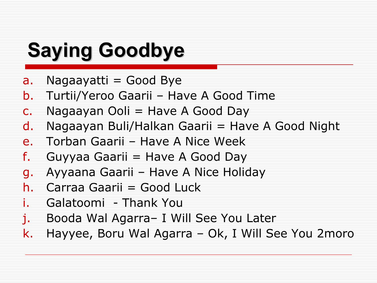### **Saying Goodbye**

- a. Nagaayatti  $=$  Good Bye
- b. Turtii/Yeroo Gaarii Have A Good Time
- c. Nagaayan Ooli  $=$  Have A Good Day
- $d.$  Nagaayan Buli/Halkan Gaarii = Have A Good Night
- e. Torban Gaarii Have A Nice Week
- f. Guyyaa Gaarii  $=$  Have A Good Day
- g. Ayyaana Gaarii Have A Nice Holiday
- h. Carraa Gaarii = Good Luck
- Galatoomi Thank You
- j. Booda Wal Agarra– I Will See You Later
- k. Hayyee, Boru Wal Agarra Ok, I Will See You 2moro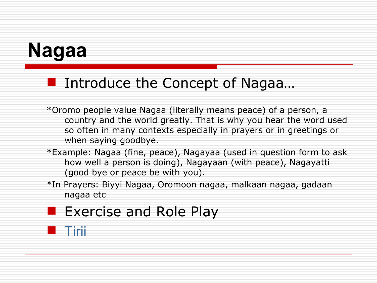## **Nagaa**

#### Introduce the Concept of Nagaa...

- \*Oromo people value Nagaa (literally means peace) of a person, a country and the world greatly. That is why you hear the word used so often in many contexts especially in prayers or in greetings or when saying goodbye.
- \*Example: Nagaa (fine, peace), Nagayaa (used in question form to ask how well a person is doing), Nagayaan (with peace), Nagayatti (good bye or peace be with you).
- \*In Prayers: Biyyi Nagaa, Oromoon nagaa, malkaan nagaa, gadaan nagaa etc

#### **Exercise and Role Play**

#### **[Tirii](http://www.youtube.com/watch?v=p9Ae5RDuGno)**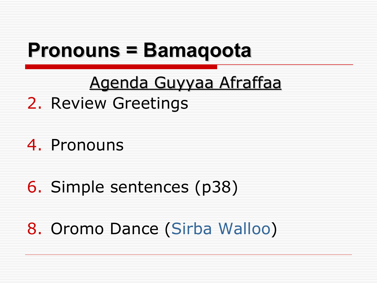### **Pronouns = Bamaqoota**

### Agenda Guyyaa Afraffaa

#### 2. Review Greetings

#### 4. Pronouns

### 6. Simple sentences (p38)

#### 8. Oromo Dance [\(Sirba Walloo\)](http://www.youtube.com/watch?v=tDyYFyFgnQ8)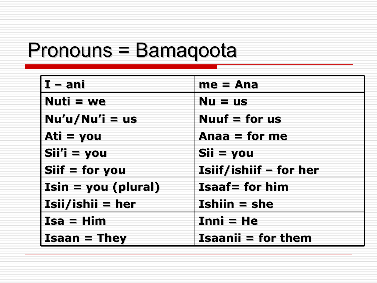### Pronouns = Bamaqoota

| $I - ani$             | $me = Ana$                |
|-----------------------|---------------------------|
| $Nuti = we$           | $Nu = us$                 |
| $Nu'u/Nu'i = us$      | Nuuf $=$ for us           |
| Ati $=$ you           | Anaa = for me             |
| $Si'i' = you$         | Sii = you                 |
| $Siif = for you$      | Isiif/ishiif - for her    |
| $Isin = you (plural)$ | <b>Isaaf= for him</b>     |
| $Isii/ishii = her$    | $Ishiin = she$            |
| $Isa = Him$           | $Inni = He$               |
| $Isaan = They$        | <b>Isaanii = for them</b> |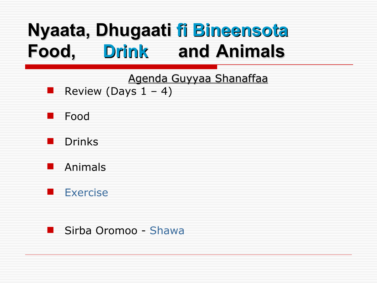### **Nyaata, Dhugaati fi Bineensota Food, Drink and Animals**

Agenda Guyyaa Shanaffaa

- Review (Days  $1 4$ )
- **Food**
- Drinks
- **Reductional Animals**
- **[Exercise](http://www.digitaldialects.com/Oromo/Animals.htm)**

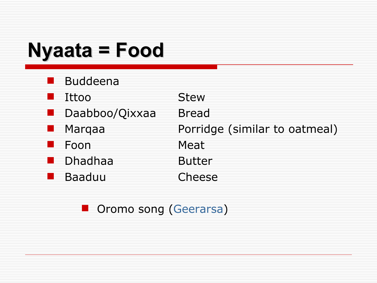### **Nyaata = Food**

| <b>Buddeena</b> |                               |
|-----------------|-------------------------------|
| Ittoo           | <b>Stew</b>                   |
| Daabboo/Qixxaa  | <b>Bread</b>                  |
| Marqaa          | Porridge (similar to oatmeal) |
| Foon            | Meat                          |
| <b>Dhadhaa</b>  | <b>Butter</b>                 |
| <b>Baaduu</b>   | Cheese                        |
|                 |                               |

**D** Oromo song [\(Geerarsa\)](http://www.youtube.com/watch?v=zt83YWUNoL8)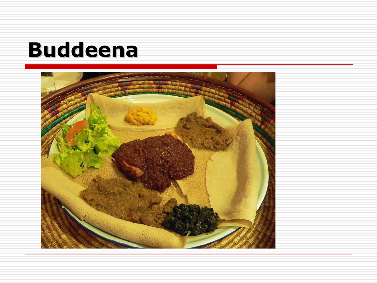### **Buddeena**

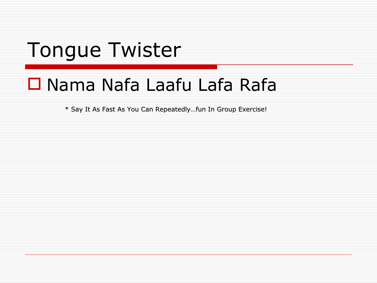### Tongue Twister

### $\Box$  Nama Nafa Laafu Lafa Rafa

\* Say It As Fast As You Can Repeatedly...fun In Group Exercise!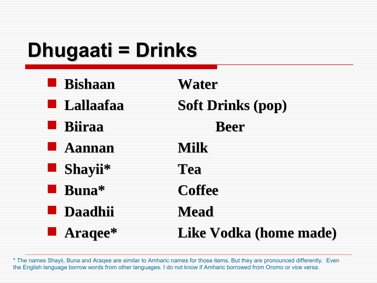# **Dhugaati = Drinks**

| <b>Bishaan</b>   | Water                    |
|------------------|--------------------------|
| <b>Lallaafaa</b> | <b>Soft Drinks (pop)</b> |
| <b>Biiraa</b>    | <b>Beer</b>              |
| <b>Aannan</b>    | Milk                     |
| Shayii*          | Tea                      |
| Buna*            | <b>Coffee</b>            |
| <b>Daadhii</b>   | Mead                     |
| <b>Araqee*</b>   | Like Vodka (home made)   |

\* The names Shayii, Buna and Araqee are similar to Amharic names for those items. But they are pronounced differently. Even the English language borrow words from other languages. I do not know if Amharic borrowed from Oromo or vice versa.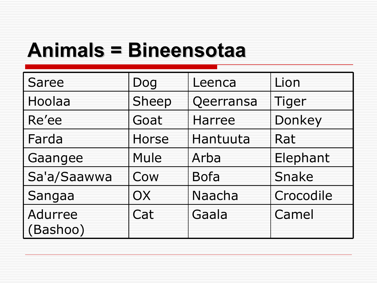### **Animals = Bineensotaa**

| <b>Saree</b>               | Dog          | Leenca        | Lion      |
|----------------------------|--------------|---------------|-----------|
| Hoolaa                     | Sheep        | Qeerransa     | Tiger     |
| Re'ee                      | Goat         | <b>Harree</b> | Donkey    |
| Farda                      | <b>Horse</b> | Hantuuta      | Rat       |
| Gaangee                    | Mule         | Arba          | Elephant  |
| Sa'a/Saawwa                | Cow          | <b>Bofa</b>   | Snake     |
| Sangaa                     | OX           | Naacha        | Crocodile |
| <b>Adurree</b><br>(Bashoo) | Cat          | Gaala         | Camel     |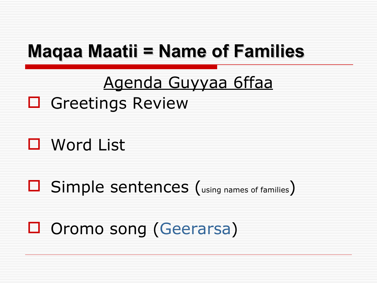### **Magaa Maatii = Name of Families**

### Agenda Guyyaa 6ffaa

#### □ Greetings Review

 $\Box$  Word List

□ Simple sentences (using names of families)

□ Oromo song (Geerarsa)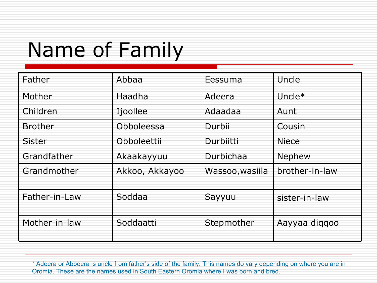# Name of Family

| Father         | Abbaa          | Eessuma         | Uncle          |
|----------------|----------------|-----------------|----------------|
| Mother         | Haadha         | Adeera          | Uncle $*$      |
| Children       | Ijoollee       | Adaadaa         | Aunt           |
| <b>Brother</b> | Obboleessa     | Durbii          | Cousin         |
| <b>Sister</b>  | Obboleettii    | Durbiitti       | <b>Niece</b>   |
| Grandfather    | Akaakayyuu     | Durbichaa       | Nephew         |
| Grandmother    | Akkoo, Akkayoo | Wassoo, wasiila | brother-in-law |
| Father-in-Law  | Soddaa         | Sayyuu          | sister-in-law  |
| Mother-in-law  | Soddaatti      | Stepmother      | Aayyaa diqqoo  |

\* Adeera or Abbeera is uncle from father's side of the family. This names do vary depending on where you are in Oromia. These are the names used in South Eastern Oromia where I was born and bred.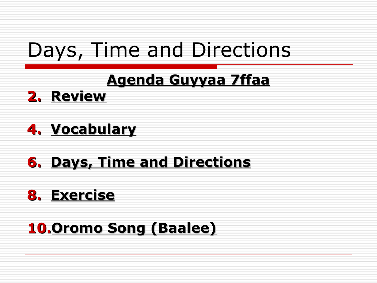### Days, Time and Directions

#### **Agenda Guyyaa 7ffaa**

2. Review

#### 4. Vocabulary

#### **6. Days, Time and Directions**

#### 8. Exercise

#### **10, Oromo Song (Baalee)**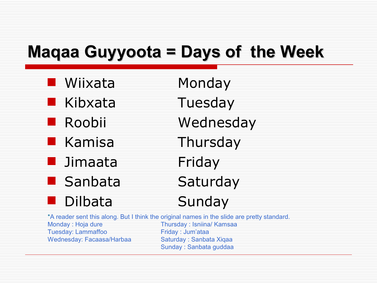#### **Maqaa Guyyoota = Days of the Week**

Wiixata Monday Kibxata Tuesday **Roobii** Wednesday Kamisa Thursday Jimaata Friday **Sanbata** Saturday Dilbata Sunday

\*A reader sent this along. But I think the original names in the slide are pretty standard. Monday : Hoja dure Thursday : Isniina/ Kamsaa Tuesday: Lammaffoo Friday : Jum'ataa Wednesday: Facaasa/Harbaa Saturday : Sanbata Xiqaa Sunday : Sanbata guddaa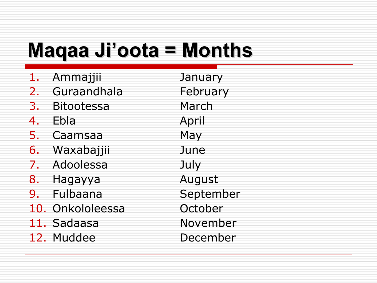### **Maqaa Ji'oota = Months**

- 1. Ammajjii January 2. Guraandhala February 3. Bitootessa March 4. Ebla April 5. Caamsaa May 6. Waxabajjii June 7. Adoolessa July 8. Hagayya **August** 9. Fulbaana September 10. Onkololeessa Cortober 11. Sadaasa November
- 12. Muddee December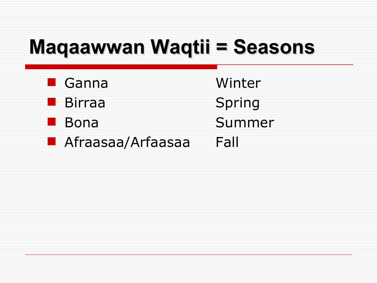# **Maqaawwan Waqtii = Seasons**

| $\blacksquare$ Ganna | Winter |
|----------------------|--------|
| ■ Birraa             | Spring |
| <b>Bona</b>          | Summer |
| Afraasaa/Arfaasaa    | Fall   |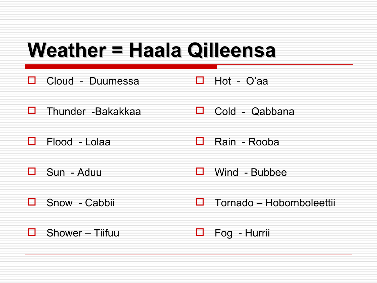### **Weather = Haala Qilleensa**

- Cloud Duumessa  $\Box$  Hot - O'aa П.
- $\Box$  Thunder -Bakakkaa  $\Box$  Cold - Qabbana
- Rain Rooba 0 Flood - Lolaa П
- $\Box$  Sun Aduu  $\Box$  Wind - Bubbee
- Snow Cabbii  $\Box$  Tornado – Hobomboleettii  $\Box$
- Shower Tiifuu Fog - Hurrii П. ப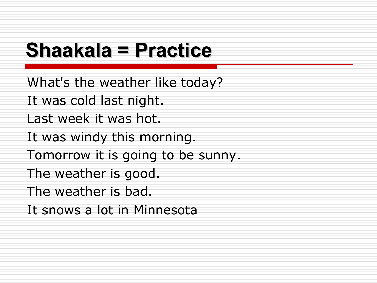### **Shaakala = Practice**

What's the weather like today? It was cold last night. Last week it was hot. It was windy this morning. Tomorrow it is going to be sunny. The weather is good. The weather is bad. It snows a lot in Minnesota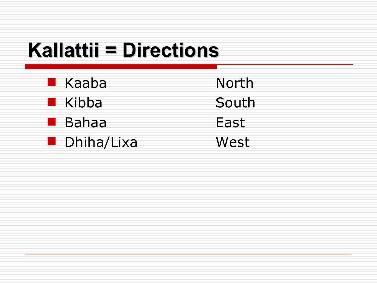# **Kallattii = Directions**

| $\blacksquare$ Kaaba | North |
|----------------------|-------|
| $\blacksquare$ Kibba | South |
| <b>■ Bahaa</b>       | East  |
| <b>Dhiha/Lixa</b>    | West  |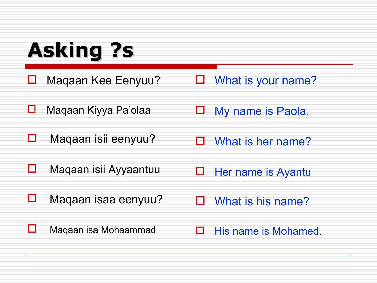# **Asking ?s**

■ Maqaan Kee Eenyuu?

□ What is your name?

- Maqaan Kiyya Pa'olaa
- $\Box$  Maqaan isii eenyuu?
- **D** My name is Paola.
- $\Box$  What is her name?

- Maqaan isii Ayyaantuu
- $\Box$  Maqaan isaa eenyuu?
- $\Box$  Her name is Ayantu
- $\Box$  What is his name?

**L** Maqaan isa Mohaammad

 $\Box$  His name is Mohamed.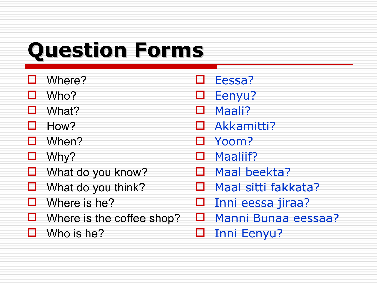# **Question Forms**

- Where?
- $\Box$  Who?
- □ What?
- $\Box$  How?
- When?
- $\Box$  Why?
- $\Box$  What do you know?
- $\Box$  What do you think?
- $\Box$  Where is he?
- $\Box$  Where is the coffee shop?
- $\Box$  Who is he?
- Eessa?
- D Eenyu?
- Maali?
- □ Akkamitti?
- Yoom?
- □ Maaliif?
- D Maal beekta?
- □ Maal sitti fakkata?
- $\square$  Inni eessa jiraa?
- Manni Bunaa eessaa?
- Inni Eenyu?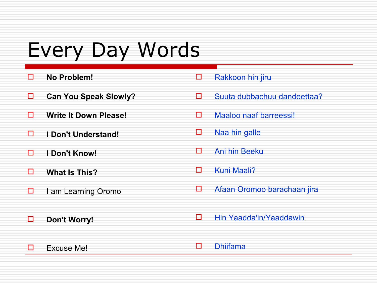### Every Day Words

- **No Problem!**
- **Can You Speak Slowly?**
- **Write It Down Please!**
- **I Don't Understand!**
- **I Don't Know!**
- **What Is This?**
- $\Box$  I am Learning Oromo
- **Don't Worry!**
- Rakkoon hin jiru
- $\square$  Suuta dubbachuu dandeettaa?
- $\Box$  Maaloo naaf barreessi!
- $\square$  Naa hin galle
- Ani hin Beeku
- Kuni Maali?
- □ Afaan Oromoo barachaan jira
- □ Hin Yaadda'in/Yaaddawin

 $\Box$  Excuse Me!

Dhiifama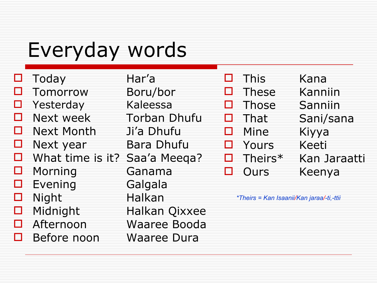### Everyday words

| $\Box$         | Today                         | Har'a               |
|----------------|-------------------------------|---------------------|
| $\mathsf{L}$ 1 | Tomorrow                      | Boru/bor            |
|                | Yesterday                     | Kaleessa            |
| П              | Next week                     | <b>Torban Dhufu</b> |
| $\Box$         | <b>Next Month</b>             | Ji'a Dhufu          |
|                | Next year                     | <b>Bara Dhufu</b>   |
| П              | What time is it? Saa'a Meega? |                     |
| П              | Morning                       | Ganama              |
| Н              | Evening                       | Galgala             |
| $\mathsf{L}$   | Night                         | <b>Halkan</b>       |
| П              | Midnight                      | Halkan Qixxee       |
|                | Afternoon                     | <b>Waaree Booda</b> |
|                | Before noon                   | Waaree Dura         |
|                |                               |                     |

This **These Those** That  $\blacksquare$ Mine E Yours Theirs\* Е Ours П

- Kana Kanniin
- Sanniin Sani/sana Kiyya Keeti Kan Jaraatti Keenya

\*Theirs = Kan Isaanii/Kan jaraa/-ti,-ttii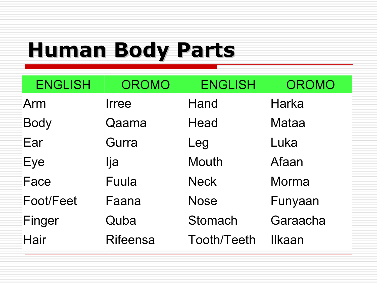# **Human Body Parts**

| <b>ENGLISH</b> | <b>OROMO</b>    | <b>ENGLISH</b>     | <b>OROMO</b> |
|----------------|-----------------|--------------------|--------------|
| Arm            | <b>Irree</b>    | Hand               | <b>Harka</b> |
| <b>Body</b>    | Qaama           | Head               | <b>Mataa</b> |
| Ear            | Gurra           | Leg                | Luka         |
| Eye            | lja             | <b>Mouth</b>       | Afaan        |
| Face           | Fuula           | <b>Neck</b>        | Morma        |
| Foot/Feet      | Faana           | <b>Nose</b>        | Funyaan      |
| Finger         | Quba            | Stomach            | Garaacha     |
| Hair           | <b>Rifeensa</b> | <b>Tooth/Teeth</b> | Ilkaan       |